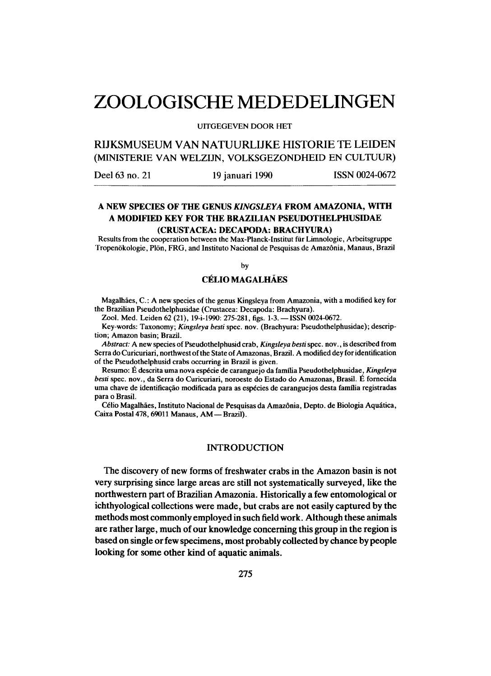# **ZOOLOGISCHE MEDEDELINGEN**

#### **UITGEGEVEN DOOR HET**

**RIJKSMUSEUM VAN NATUURLIJKE HISTORIE TE LEIDEN**  (MINISTERIE VAN WELZIJN, VOLKSGEZONDHEID EN CULTUUR)

Deel 63 no. 21 19 januari 1990 ISSN 0024-0672

# **A NEW SPECIES OF THE GENUS** *KINGSLEYA* **FROM AMAZONIA, WITH A MODIFIED KEY FOR THE BRAZILIAN PSEUDOTHELPHUSIDAE**

## **(CRUSTACEA: DECAPODA: BRACHYURA)**

**Results from the cooperation between the Max-Planck-Institut fur Limnologie, Arbeitsgruppe Tropenokologie, Plon, FRG , and Instituto Nacional de Pesquisas de Amazonia, Manaus, Brazil** 

**by** 

## **CELIO MAGALHAES**

**Magalhaes, C : A new species of the genus Kingsleya from Amazonia, with a modified key for the Brazilian Pseudothelphusidae (Crustacea: Decapoda: Brachyura).** 

**Zool. Med. Leiden 62 (21), 19-i-1990: 275-281, figs. 1-3. —ISSN 0024-0672.** 

**Key-words: Taxonomy;** *Kingsleya besti* **spec. nov. (Brachyura: Pseudothelphusidae); description; Amazon basin; Brazil.** 

*Abstract:* **A new species of Pseudothelphusid crab,** *Kingsleya besti* **spec. nov., is described from Serra do Curicuriari, northwest of the State of Amazonas, Brazil. A modified dey for identification of the Pseudothelphusid crabs occurring in Brazil is given.** 

**Resumo: E descrita uma nova especie de caranguejo da familia Pseudothelphusidae,** *Kingsleya besti* **spec, nov., da Serra do Curicuriari, noroeste do Estado do Amazonas, Brasil. E fornecida**  uma chave de identificação modificada para as espécies de caranguejos desta família registradas **para o Brasil.** 

**Celio Magalhaes, Instituto Nacional de Pesquisas da Amazonia, Depto. de Biologia Aquatica,**  Caixa Postal 478, 69011 Manaus, AM - Brazil).

## INTRODUCTION

The discovery of new forms of freshwater crabs in the Amazon basin is not very surprising since large areas are still not systematically surveyed, like the northwestern part of Brazilian Amazonia. Historically a few entomological or ichthyological collections were made, but crabs are not easily captured by the methods most commonly employed in such field work. Although these animals are rather large, much of our knowledge concerning this group in the region is based on single or few specimens, most probably collected by chance by people looking for some other kind of aquatic animals.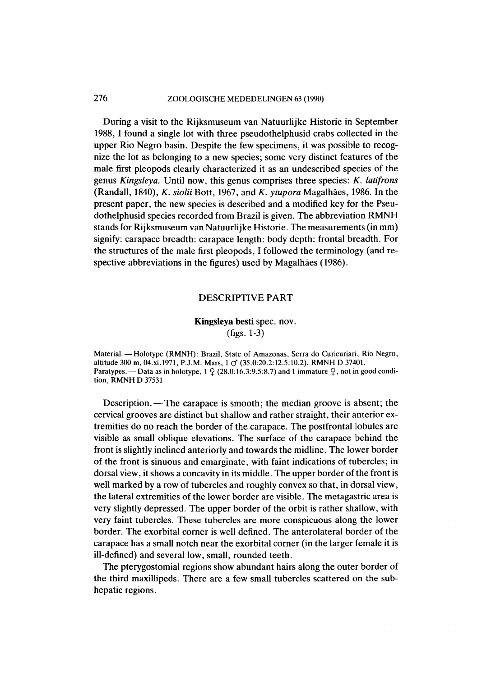# 276 **ZOOLOGISCHE MEDEDELINGEN 63 (1990)**

During a visit to the Rijksmuseum van Natuurlijke Historie in September 1988,1 found a single lot with three pseudothelphusid crabs collected in the upper Rio Negro basin. Despite the few specimens, it was possible to recognize the lot as belonging to a new species; some very distinct features of the male first pleopods clearly characterized it as an undescribed species of the genus *Kingsleya.* Until now, this genus comprises three species: *K. latifrons*  (Randall, 1840), *K. siolii* Bott, 1967, and *K. ytupora* Magalhaes, 1986. In the present paper, the new species is described and a modified key for the Pseudothelphusid species recorded from Brazil is given. The abbreviation RMNH stands for Rijksmuseum van Natuurlijke Historie. The measurements (in mm) signify: carapace breadth: carapace length: body depth: frontal breadth. For the structures of the male first pleopods, I followed the terminology (and respective abbreviations in the figures) used by Magalhães (1986).

#### DESCRIPTIVE PART

# Kingsleya besti spec. nov.

(figs. 1-3)

**Material. — Holotype (RMNH): Brazil, State of Amazonas, Serra do Curicuriari, Rio Negro, altitude 300 m, [04.xi.1971,](http://04.xi.1971) P.J.M. Mars, 1 cf (35.0:20.2:12.5:10.2), RMN H D 37401.**  Paratypes. — Data as in holotype,  $1 \nsubseteq (28.0:16.3:9.5:8.7)$  and 1 immature  $\mathcal{Q}$ , not in good condi**tion, RMNH D 37531** 

Description.—The carapace is smooth; the median groove is absent; the cervical grooves are distinct but shallow and rather straight, their anterior extremities do no reach the border of the carapace. The postfrontal lobules are visible as small oblique elevations. The surface of the carapace behind the front is slightly inclined anteriorly and towards the midline. The lower border of the front is sinuous and emarginate, with faint indications of tubercles; in dorsal view, it shows a concavity in its middle. The upper border of the front is well marked by a row of tubercles and roughly convex so that, in dorsal view, the lateral extremities of the lower border are visible. The metagastric area is very slightly depressed. The upper border of the orbit is rather shallow, with very faint tubercles. These tubercles are more conspicuous along the lower border. The exorbital corner is well defined. The anterolateral border of the carapace has a small notch near the exorbital corner (in the larger female it is ill-defined) and several low, small, rounded teeth.

The pterygostomial regions show abundant hairs along the outer border of the third maxillipeds. There are a few small tubercles scattered on the subhepatic regions.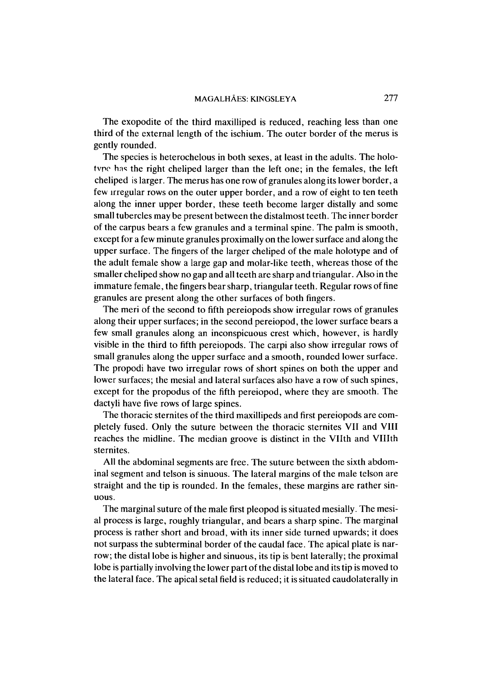The exopodite of the third maxilliped is reduced, reaching less than one third of the external length of the ischium. The outer border of the merus is gently rounded.

The species is heterochelous in both sexes, at least in the adults. The holo**tvpe hns** the right cheliped larger than the left one; in the females, the left cheliped is larger. The merus has one row of granules along its lower border, a few irregular rows on the outer upper border, and a row of eight to ten teeth along the inner upper border, these teeth become larger distally and some small tubercles may be present between the distalmost teeth. The inner border of the carpus bears a few granules and a terminal spine. The palm is smooth, except for a few minute granules proximally on the lower surface and along the upper surface. The fingers of the larger cheliped of the male holotype and of the adult female show a large gap and molar-like teeth, whereas those of the smaller cheliped show no gap and all teeth are sharp and triangular. Also in the immature female, the fingers bear sharp, triangular teeth. Regular rows of fine granules are present along the other surfaces of both fingers.

The meri of the second to fifth pereiopods show irregular rows of granules along their upper surfaces; in the second pereiopod, the lower surface bears a few small granules along an inconspicuous crest which, however, is hardly visible in the third to fifth pereiopods. The carpi also show irregular rows of small granules along the upper surface and a smooth, rounded lower surface. The propodi have two irregular rows of short spines on both the upper and lower surfaces; the mesial and lateral surfaces also have a row of such spines, except for the propodus of the fifth pereiopod, where they are smooth. The dactyli have five rows of large spines.

The thoracic sternites of the third maxillipeds and first pereiopods are completely fused. Only the suture between the thoracic sternites VII and VIII reaches the midline. The median groove is distinct in the Vllth and VHIth sternites.

All the abdominal segments are free. The suture between the sixth abdominal segment and telson is sinuous. The lateral margins of the male telson are straight and the tip is rounded. In the females, these margins are rather sinuous.

The marginal suture of the male first pleopod is situated mesially. The mesial process is large, roughly triangular, and bears a sharp spine. The marginal process is rather short and broad, with its inner side turned upwards; it does not surpass the subterminal border of the caudal face. The apical plate is narrow; the distal lobe is higher and sinuous, its tip is bent laterally; the proximal lobe is partially involving the lower part of the distal lobe and its tip is moved to the lateral face. The apical setal field is reduced; it is situated caudolaterally in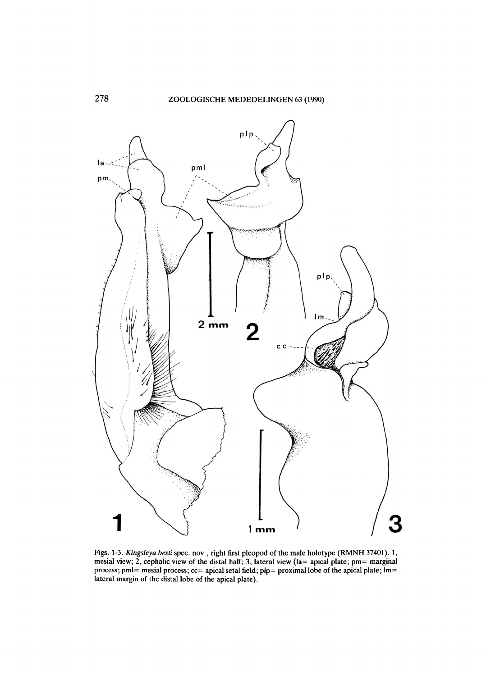

**Figs. 1-3.** *Kingsleya besti* **spec, nov., right first pleopod of the male holotype (RMNH 37401). 1, mesial view; 2, cephalic view of the distal half; 3, lateral view (la= apical plate; pm= marginal process; pml= mesial process; cc= apical setal field; plp= proximal lobe of the apical plate; lm= lateral margin of the distal lobe of the apical plate).**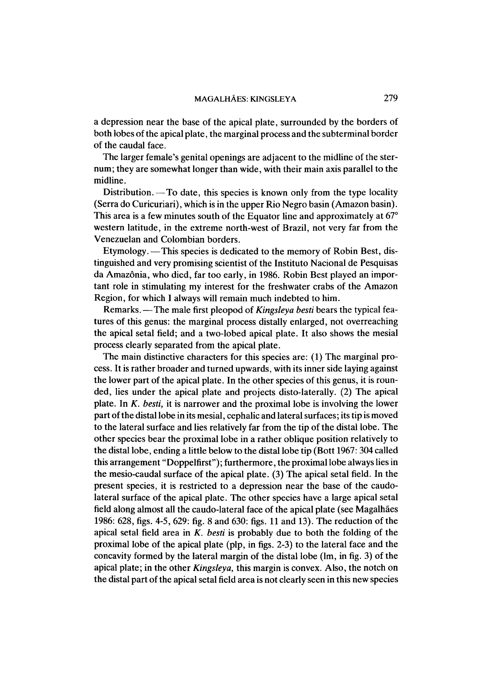a depression near the base of the apical plate, surrounded by the borders of both lobes of the apical plate, the marginal process and the subterminal border of the caudal face.

The larger female's genital openings are adjacent to the midline of the sternum; they are somewhat longer than wide, with their main axis parallel to the midline.

Distribution.—To date, this species is known only from the type locality (Serra do Curicuriari), which is in the upper Rio Negro basin (Amazon basin). This area is a few minutes south of the Equator line and approximately at 67° western latitude, in the extreme north-west of Brazil, not very far from the Venezuelan and Colombian borders.

Etymology.—This species is dedicated to the memory of Robin Best, distinguished and very promising scientist of the Instituto Nacional de Pesquisas da Amazonia, who died, far too early, in 1986. Robin Best played an important role in stimulating my interest for the freshwater crabs of the Amazon Region, for which I always will remain much indebted to him.

Remarks.—The male first pleopod of *Kingsleya besti* bears the typical features of this genus: the marginal process distally enlarged, not overreaching the apical setal field; and a two-lobed apical plate. It also shows the mesial process clearly separated from the apical plate.

The main distinctive characters for this species are: (1) The marginal process. It is rather broader and turned upwards, with its inner side laying against the lower part of the apical plate. In the other species of this genus, it is rounded, lies under the apical plate and projects disto-laterally. (2) The apical plate. In *K. besti,* it is narrower and the proximal lobe is involving the lower part of the distal lobe in its mesial, cephalic and lateral surfaces; its tip is moved to the lateral surface and lies relatively far from the tip of the distal lobe. The other species bear the proximal lobe in a rather oblique position relatively to the distal lobe, ending a little below to the distal lobe tip (Bott 1967: 304 called this arrangement "Doppelfirst"); furthermore, the proximal lobe always lies in the mesio-caudal surface of the apical plate. (3) The apical setal field. In the present species, it is restricted to a depression near the base of the caudolateral surface of the apical plate. The other species have a large apical setal field along almost all the caudo-lateral face of the apical plate (see Magalhães 1986: 628, figs. 4-5, 629: fig. 8 and 630: figs. 11 and 13). The reduction of the apical setal field area in *K. besti* is probably due to both the folding of the proximal lobe of the apical plate (pip, in figs. 2-3) to the lateral face and the concavity formed by the lateral margin of the distal lobe (lm, in fig. 3) of the apical plate; in the other *Kingsleya,* this margin is convex. Also, the notch on the distal part of the apical setal field area is not clearly seen in this new species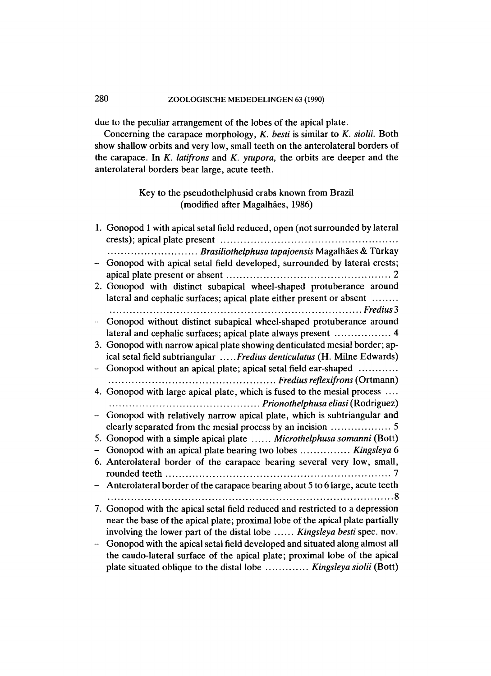# 280 **ZOOLOGISCHE MEDEDELINGEN 63 (1990)**

due to the peculiar arrangement of the lobes of the apical plate.

Concerning the carapace morphology, *K. besti* is similar to *K. siolii.* Both show shallow orbits and very low, small teeth on the anterolateral borders of the carapace. In *K. latifrons* and *K. ytupora,* the orbits are deeper and the anterolateral borders bear large, acute teeth.

# Key to the pseudothelphusid crabs known from Brazil (modified after Magalhaes, 1986)

| 1. Gonopod 1 with apical setal field reduced, open (not surrounded by lateral  |
|--------------------------------------------------------------------------------|
| Brasiliothelphusa tapajoensis Magalhães & Türkay                               |
| Gonopod with apical setal field developed, surrounded by lateral crests;       |
|                                                                                |
| 2. Gonopod with distinct subapical wheel-shaped protuberance around            |
| lateral and cephalic surfaces; apical plate either present or absent           |
| Gonopod without distinct subapical wheel-shaped protuberance around            |
| lateral and cephalic surfaces; apical plate always present  4                  |
| 3. Gonopod with narrow apical plate showing denticulated mesial border; ap-    |
| ical setal field subtriangular  Fredius denticulatus (H. Milne Edwards)        |
| Gonopod without an apical plate; apical setal field ear-shaped                 |
|                                                                                |
| 4. Gonopod with large apical plate, which is fused to the mesial process       |
|                                                                                |
| - Gonopod with relatively narrow apical plate, which is subtriangular and      |
|                                                                                |
| 5. Gonopod with a simple apical plate  Microthelphusa somanni (Bott)           |
| Gonopod with an apical plate bearing two lobes  Kingsleya 6                    |
| 6. Anterolateral border of the carapace bearing several very low, small,       |
|                                                                                |
| - Anterolateral border of the carapace bearing about 5 to 6 large, acute teeth |
|                                                                                |
| 7. Gonopod with the apical setal field reduced and restricted to a depression  |
| near the base of the apical plate; proximal lobe of the apical plate partially |
| involving the lower part of the distal lobe  Kingsleya besti spec. nov.        |
| Gonopod with the apical setal field developed and situated along almost all    |
| the caudo-lateral surface of the apical plate; proximal lobe of the apical     |
| plate situated oblique to the distal lobe  Kingsleya siolii (Bott)             |